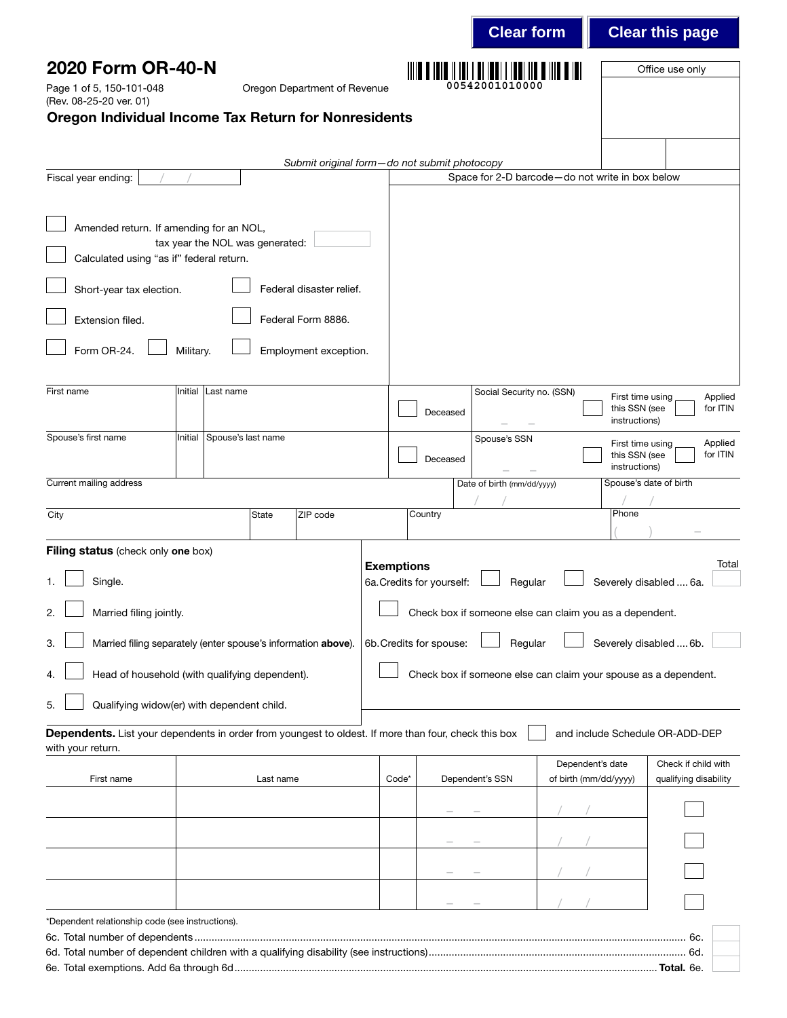| 2020 Form OR-40-N<br>Office use only<br>00542001010000<br>Page 1 of 5, 150-101-048<br>Oregon Department of Revenue<br>(Rev. 08-25-20 ver. 01)<br><b>Oregon Individual Income Tax Return for Nonresidents</b><br>Submit original form-do not submit photocopy<br>Space for 2-D barcode-do not write in box below<br>Fiscal year ending:<br>Amended return. If amending for an NOL,<br>tax year the NOL was generated:<br>Calculated using "as if" federal return.<br>Federal disaster relief.<br>Short-year tax election.<br>Extension filed.<br>Federal Form 8886.<br>Form OR-24.<br>Employment exception.<br>Military.<br>First name<br>Initial<br>Last name<br>Social Security no. (SSN)<br>First time using<br>this SSN (see<br>Deceased<br>instructions)<br>Spouse's first name<br>Spouse's last name<br>Initial<br>Spouse's SSN<br>First time using<br>for ITIN<br>this SSN (see<br>Deceased<br>instructions)<br>Current mailing address<br>Date of birth (mm/dd/yyyy)<br>Spouse's date of birth<br>Phone<br>City<br><b>State</b><br>ZIP code<br>Country<br>Filing status (check only one box)<br><b>Exemptions</b><br>6a. Credits for yourself:<br>Severely disabled  6a.<br>Single.<br>Regular<br>1.<br>Check box if someone else can claim you as a dependent.<br>2.<br>Married filing jointly.<br>6b. Credits for spouse:<br>Severely disabled  6b.<br>Married filing separately (enter spouse's information above).<br>Regular<br>3.<br>Head of household (with qualifying dependent).<br>Check box if someone else can claim your spouse as a dependent.<br>4.<br>Qualifying widow(er) with dependent child.<br>5.<br>Dependents. List your dependents in order from youngest to oldest. If more than four, check this box<br>and include Schedule OR-ADD-DEP<br>with your return.<br>Check if child with<br>Dependent's date<br>Dependent's SSN<br>of birth (mm/dd/yyyy)<br>qualifying disability<br>Code*<br>First name<br>Last name |  |  |  | <b>Clear form</b> |  | <b>Clear this page</b> |
|---------------------------------------------------------------------------------------------------------------------------------------------------------------------------------------------------------------------------------------------------------------------------------------------------------------------------------------------------------------------------------------------------------------------------------------------------------------------------------------------------------------------------------------------------------------------------------------------------------------------------------------------------------------------------------------------------------------------------------------------------------------------------------------------------------------------------------------------------------------------------------------------------------------------------------------------------------------------------------------------------------------------------------------------------------------------------------------------------------------------------------------------------------------------------------------------------------------------------------------------------------------------------------------------------------------------------------------------------------------------------------------------------------------------------------------------------------------------------------------------------------------------------------------------------------------------------------------------------------------------------------------------------------------------------------------------------------------------------------------------------------------------------------------------------------------------------------------------------------------------------------------------------------------------------------------------------|--|--|--|-------------------|--|------------------------|
|                                                                                                                                                                                                                                                                                                                                                                                                                                                                                                                                                                                                                                                                                                                                                                                                                                                                                                                                                                                                                                                                                                                                                                                                                                                                                                                                                                                                                                                                                                                                                                                                                                                                                                                                                                                                                                                                                                                                                   |  |  |  |                   |  |                        |
|                                                                                                                                                                                                                                                                                                                                                                                                                                                                                                                                                                                                                                                                                                                                                                                                                                                                                                                                                                                                                                                                                                                                                                                                                                                                                                                                                                                                                                                                                                                                                                                                                                                                                                                                                                                                                                                                                                                                                   |  |  |  |                   |  |                        |
|                                                                                                                                                                                                                                                                                                                                                                                                                                                                                                                                                                                                                                                                                                                                                                                                                                                                                                                                                                                                                                                                                                                                                                                                                                                                                                                                                                                                                                                                                                                                                                                                                                                                                                                                                                                                                                                                                                                                                   |  |  |  |                   |  |                        |
|                                                                                                                                                                                                                                                                                                                                                                                                                                                                                                                                                                                                                                                                                                                                                                                                                                                                                                                                                                                                                                                                                                                                                                                                                                                                                                                                                                                                                                                                                                                                                                                                                                                                                                                                                                                                                                                                                                                                                   |  |  |  |                   |  |                        |
|                                                                                                                                                                                                                                                                                                                                                                                                                                                                                                                                                                                                                                                                                                                                                                                                                                                                                                                                                                                                                                                                                                                                                                                                                                                                                                                                                                                                                                                                                                                                                                                                                                                                                                                                                                                                                                                                                                                                                   |  |  |  |                   |  |                        |
|                                                                                                                                                                                                                                                                                                                                                                                                                                                                                                                                                                                                                                                                                                                                                                                                                                                                                                                                                                                                                                                                                                                                                                                                                                                                                                                                                                                                                                                                                                                                                                                                                                                                                                                                                                                                                                                                                                                                                   |  |  |  |                   |  |                        |
|                                                                                                                                                                                                                                                                                                                                                                                                                                                                                                                                                                                                                                                                                                                                                                                                                                                                                                                                                                                                                                                                                                                                                                                                                                                                                                                                                                                                                                                                                                                                                                                                                                                                                                                                                                                                                                                                                                                                                   |  |  |  |                   |  |                        |
|                                                                                                                                                                                                                                                                                                                                                                                                                                                                                                                                                                                                                                                                                                                                                                                                                                                                                                                                                                                                                                                                                                                                                                                                                                                                                                                                                                                                                                                                                                                                                                                                                                                                                                                                                                                                                                                                                                                                                   |  |  |  |                   |  |                        |
|                                                                                                                                                                                                                                                                                                                                                                                                                                                                                                                                                                                                                                                                                                                                                                                                                                                                                                                                                                                                                                                                                                                                                                                                                                                                                                                                                                                                                                                                                                                                                                                                                                                                                                                                                                                                                                                                                                                                                   |  |  |  |                   |  |                        |
|                                                                                                                                                                                                                                                                                                                                                                                                                                                                                                                                                                                                                                                                                                                                                                                                                                                                                                                                                                                                                                                                                                                                                                                                                                                                                                                                                                                                                                                                                                                                                                                                                                                                                                                                                                                                                                                                                                                                                   |  |  |  |                   |  |                        |
|                                                                                                                                                                                                                                                                                                                                                                                                                                                                                                                                                                                                                                                                                                                                                                                                                                                                                                                                                                                                                                                                                                                                                                                                                                                                                                                                                                                                                                                                                                                                                                                                                                                                                                                                                                                                                                                                                                                                                   |  |  |  |                   |  | Applied<br>for ITIN    |
|                                                                                                                                                                                                                                                                                                                                                                                                                                                                                                                                                                                                                                                                                                                                                                                                                                                                                                                                                                                                                                                                                                                                                                                                                                                                                                                                                                                                                                                                                                                                                                                                                                                                                                                                                                                                                                                                                                                                                   |  |  |  |                   |  | Applied                |
|                                                                                                                                                                                                                                                                                                                                                                                                                                                                                                                                                                                                                                                                                                                                                                                                                                                                                                                                                                                                                                                                                                                                                                                                                                                                                                                                                                                                                                                                                                                                                                                                                                                                                                                                                                                                                                                                                                                                                   |  |  |  |                   |  |                        |
|                                                                                                                                                                                                                                                                                                                                                                                                                                                                                                                                                                                                                                                                                                                                                                                                                                                                                                                                                                                                                                                                                                                                                                                                                                                                                                                                                                                                                                                                                                                                                                                                                                                                                                                                                                                                                                                                                                                                                   |  |  |  |                   |  |                        |
|                                                                                                                                                                                                                                                                                                                                                                                                                                                                                                                                                                                                                                                                                                                                                                                                                                                                                                                                                                                                                                                                                                                                                                                                                                                                                                                                                                                                                                                                                                                                                                                                                                                                                                                                                                                                                                                                                                                                                   |  |  |  |                   |  |                        |
|                                                                                                                                                                                                                                                                                                                                                                                                                                                                                                                                                                                                                                                                                                                                                                                                                                                                                                                                                                                                                                                                                                                                                                                                                                                                                                                                                                                                                                                                                                                                                                                                                                                                                                                                                                                                                                                                                                                                                   |  |  |  |                   |  | Total                  |
|                                                                                                                                                                                                                                                                                                                                                                                                                                                                                                                                                                                                                                                                                                                                                                                                                                                                                                                                                                                                                                                                                                                                                                                                                                                                                                                                                                                                                                                                                                                                                                                                                                                                                                                                                                                                                                                                                                                                                   |  |  |  |                   |  |                        |
|                                                                                                                                                                                                                                                                                                                                                                                                                                                                                                                                                                                                                                                                                                                                                                                                                                                                                                                                                                                                                                                                                                                                                                                                                                                                                                                                                                                                                                                                                                                                                                                                                                                                                                                                                                                                                                                                                                                                                   |  |  |  |                   |  |                        |
|                                                                                                                                                                                                                                                                                                                                                                                                                                                                                                                                                                                                                                                                                                                                                                                                                                                                                                                                                                                                                                                                                                                                                                                                                                                                                                                                                                                                                                                                                                                                                                                                                                                                                                                                                                                                                                                                                                                                                   |  |  |  |                   |  |                        |
|                                                                                                                                                                                                                                                                                                                                                                                                                                                                                                                                                                                                                                                                                                                                                                                                                                                                                                                                                                                                                                                                                                                                                                                                                                                                                                                                                                                                                                                                                                                                                                                                                                                                                                                                                                                                                                                                                                                                                   |  |  |  |                   |  |                        |
|                                                                                                                                                                                                                                                                                                                                                                                                                                                                                                                                                                                                                                                                                                                                                                                                                                                                                                                                                                                                                                                                                                                                                                                                                                                                                                                                                                                                                                                                                                                                                                                                                                                                                                                                                                                                                                                                                                                                                   |  |  |  |                   |  |                        |
|                                                                                                                                                                                                                                                                                                                                                                                                                                                                                                                                                                                                                                                                                                                                                                                                                                                                                                                                                                                                                                                                                                                                                                                                                                                                                                                                                                                                                                                                                                                                                                                                                                                                                                                                                                                                                                                                                                                                                   |  |  |  |                   |  |                        |
|                                                                                                                                                                                                                                                                                                                                                                                                                                                                                                                                                                                                                                                                                                                                                                                                                                                                                                                                                                                                                                                                                                                                                                                                                                                                                                                                                                                                                                                                                                                                                                                                                                                                                                                                                                                                                                                                                                                                                   |  |  |  |                   |  |                        |
|                                                                                                                                                                                                                                                                                                                                                                                                                                                                                                                                                                                                                                                                                                                                                                                                                                                                                                                                                                                                                                                                                                                                                                                                                                                                                                                                                                                                                                                                                                                                                                                                                                                                                                                                                                                                                                                                                                                                                   |  |  |  |                   |  |                        |
|                                                                                                                                                                                                                                                                                                                                                                                                                                                                                                                                                                                                                                                                                                                                                                                                                                                                                                                                                                                                                                                                                                                                                                                                                                                                                                                                                                                                                                                                                                                                                                                                                                                                                                                                                                                                                                                                                                                                                   |  |  |  |                   |  |                        |
|                                                                                                                                                                                                                                                                                                                                                                                                                                                                                                                                                                                                                                                                                                                                                                                                                                                                                                                                                                                                                                                                                                                                                                                                                                                                                                                                                                                                                                                                                                                                                                                                                                                                                                                                                                                                                                                                                                                                                   |  |  |  |                   |  |                        |
| *Dependent relationship code (see instructions).                                                                                                                                                                                                                                                                                                                                                                                                                                                                                                                                                                                                                                                                                                                                                                                                                                                                                                                                                                                                                                                                                                                                                                                                                                                                                                                                                                                                                                                                                                                                                                                                                                                                                                                                                                                                                                                                                                  |  |  |  |                   |  |                        |
|                                                                                                                                                                                                                                                                                                                                                                                                                                                                                                                                                                                                                                                                                                                                                                                                                                                                                                                                                                                                                                                                                                                                                                                                                                                                                                                                                                                                                                                                                                                                                                                                                                                                                                                                                                                                                                                                                                                                                   |  |  |  |                   |  |                        |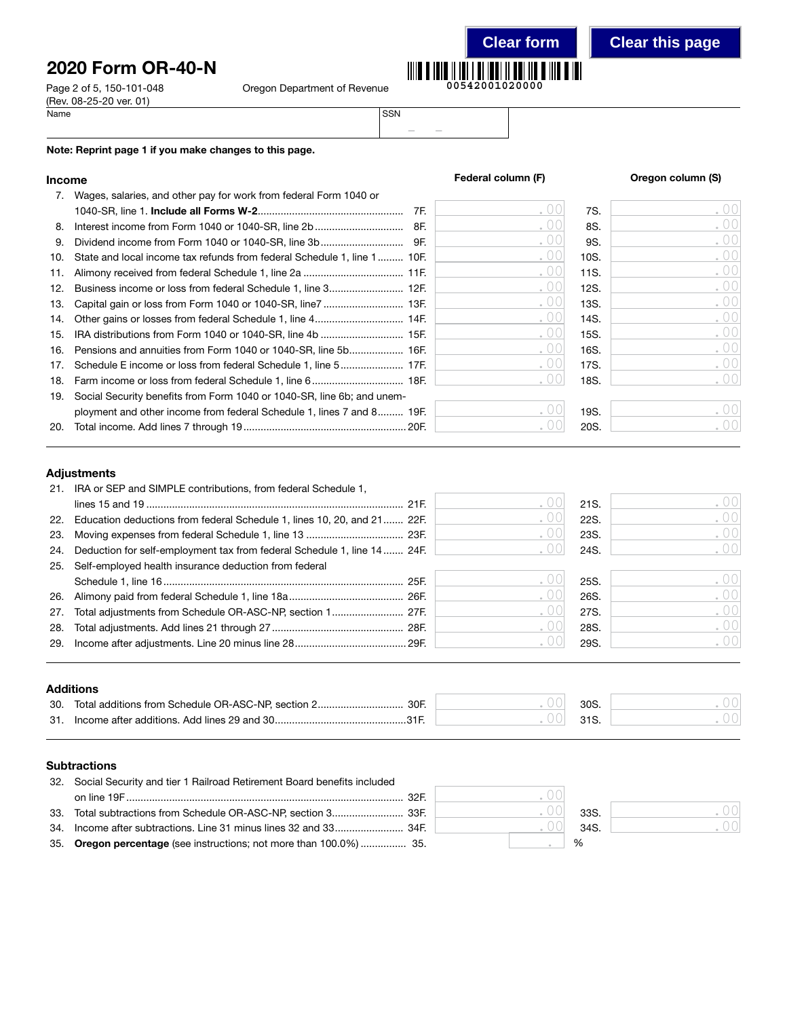# 2020 Form OR-40-N

Page 2 of 5, 150-101-048 O (Rev. 08-25-20 ver. 01)<br>Name Name SSN

|  | regon Department of Revenue |  |
|--|-----------------------------|--|
|--|-----------------------------|--|



– –

#### Note: Reprint page 1 if you make changes to this page.

### Income **Income Income Federal column (F) Come** *S* **Oregon column (S)**

| 7.  | Wages, salaries, and other pay for work from federal Form 1040 or       |     |     |      |                  |
|-----|-------------------------------------------------------------------------|-----|-----|------|------------------|
|     |                                                                         | 7F. | .00 | 7S.  | .00              |
| 8.  |                                                                         | 8F. | .00 | 8S.  | .00              |
| 9.  |                                                                         |     | .00 | 9S.  | .00              |
| 10. | State and local income tax refunds from federal Schedule 1, line 1 10F. |     | .00 | 10S. | .00              |
| 11. |                                                                         |     | .00 | 11S. | .00              |
| 12. |                                                                         |     | .00 | 12S. | .00              |
| 13. |                                                                         |     | .00 | 13S. | .00              |
| 14. |                                                                         |     | .00 | 14S. | .00              |
| 15. |                                                                         |     | .00 | 15S. | .00              |
| 16. | Pensions and annuities from Form 1040 or 1040-SR, line 5b 16F.          |     | .00 | 16S. | .00              |
| 17. |                                                                         |     | .00 | 17S. | .00              |
| 18. |                                                                         |     | .00 | 18S. | .001             |
| 19. | Social Security benefits from Form 1040 or 1040-SR, line 6b; and unem-  |     |     |      |                  |
|     | ployment and other income from federal Schedule 1, lines 7 and 8 19F.   |     |     | 19S. | .001             |
| 20. |                                                                         |     |     | 20S. | .00 <sup>1</sup> |

#### Adjustments

|     | 21. IRA or SEP and SIMPLE contributions, from federal Schedule 1,            |      |      |       |
|-----|------------------------------------------------------------------------------|------|------|-------|
|     |                                                                              |      | 21S. | ( )() |
|     | 22. Education deductions from federal Schedule 1, lines 10, 20, and 21 22F.  | . UU | 22S. |       |
|     |                                                                              | . UU | 23S. | . 00  |
|     | 24. Deduction for self-employment tax from federal Schedule 1, line 14  24F. |      | 24S. | . 001 |
| 25. | Self-employed health insurance deduction from federal                        |      |      |       |
|     |                                                                              |      | 25S. | .00   |
|     |                                                                              | . UU | 26S. | .001  |
| 27. |                                                                              | . UU | 27S. | .00   |
| 28. |                                                                              |      | 28S. | . 001 |
| 29. |                                                                              |      | 29S. |       |
|     |                                                                              |      |      |       |

#### Additions

| 30.  | Total additions from Schedule OR-ASC-NP, section 2<br>30F | 30S |  |
|------|-----------------------------------------------------------|-----|--|
| -31. | Income after additions. Add lines 29 and 30               | 24C |  |

#### **Subtractions**

| 32. Social Security and tier 1 Railroad Retirement Board benefits included |         |      |
|----------------------------------------------------------------------------|---------|------|
|                                                                            | ( ) ( ) |      |
|                                                                            | .001    | 33S. |
|                                                                            |         | 34S  |
| 35. Oregon percentage (see instructions; not more than 100.0%)  35.        |         | %    |

|   | 33S. |  |
|---|------|--|
| ó | 34S. |  |
|   | ℅    |  |

 $\bigcirc$  $\overline{O}$  (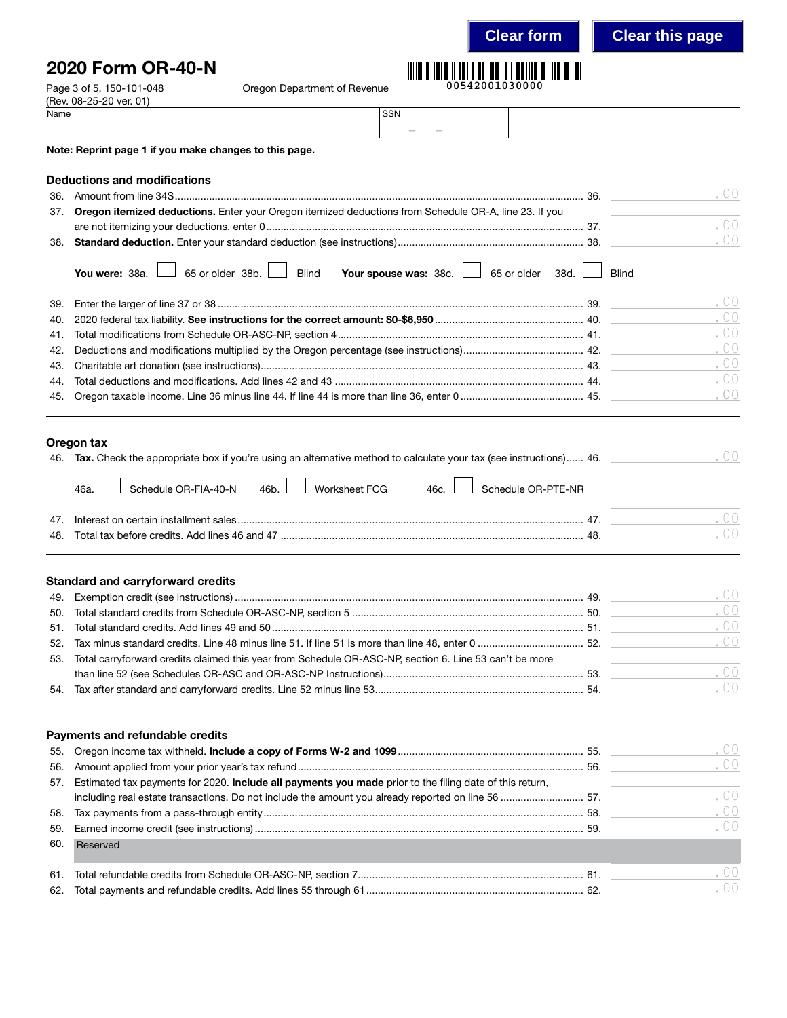### **Clear form Clear this page**

. 00

. 00 . 00

. 00

## 2020 Form OR-40-N



|      | Page 3 of 5, 150-101-048<br>(Rev. 08-25-20 ver. 01)                                                          | Oregon Department of Revenue |            | 00542001030000                             |      |              |  |
|------|--------------------------------------------------------------------------------------------------------------|------------------------------|------------|--------------------------------------------|------|--------------|--|
| Name |                                                                                                              |                              | <b>SSN</b> |                                            |      |              |  |
|      | Note: Reprint page 1 if you make changes to this page.                                                       |                              |            |                                            |      |              |  |
|      | <b>Deductions and modifications</b>                                                                          |                              |            |                                            |      |              |  |
| 36.  |                                                                                                              |                              |            |                                            |      | -36.         |  |
| 37.  | <b>Oregon itemized deductions.</b> Enter your Oregon itemized deductions from Schedule OR-A, line 23. If you |                              |            |                                            |      |              |  |
|      |                                                                                                              |                              |            |                                            |      |              |  |
| 38.  |                                                                                                              |                              |            |                                            |      |              |  |
|      | You were: $38a.$ $\Box$ 65 or older $38b.$ $\Box$ Blind                                                      |                              |            | Your spouse was: $38c.$ $\Box$ 65 or older | 38d. | <b>Blind</b> |  |
| 39.  |                                                                                                              |                              |            |                                            |      |              |  |
|      |                                                                                                              |                              |            |                                            |      |              |  |

|  | $\cdot$ 00 |
|--|------------|
|  | .00        |
|  | .00        |
|  | .00        |
|  | .00        |
|  | .00        |

#### Oregon tax

| 46. Tax. Check the appropriate box if you're using an alternative method to calculate your tax (see instructions) 46. | . 001  |
|-----------------------------------------------------------------------------------------------------------------------|--------|
| Schedule OR-FIA-40-N 46b. Norksheet FCG 46c. Schedule OR-PTE-NR<br>46a.                                               |        |
| $\overline{A}$                                                                                                        |        |
|                                                                                                                       | $\cap$ |

#### Standard and carryforward credits

|                                                                                                            | . UUI     |
|------------------------------------------------------------------------------------------------------------|-----------|
|                                                                                                            | .00       |
|                                                                                                            | .001      |
|                                                                                                            | .001      |
| 53. Total carryforward credits claimed this year from Schedule OR-ASC-NP, section 6. Line 53 can't be more |           |
|                                                                                                            | .001      |
|                                                                                                            | $\sim$ 00 |
|                                                                                                            |           |

#### Payments and refundable credits

|     |                                                                                                             | .001 |
|-----|-------------------------------------------------------------------------------------------------------------|------|
|     |                                                                                                             | .001 |
|     | 57. Estimated tax payments for 2020. Include all payments you made prior to the filing date of this return, |      |
|     | including real estate transactions. Do not include the amount you already reported on line 56  57.          | .00  |
|     |                                                                                                             | .00  |
|     |                                                                                                             | .001 |
| 60. | Reserved                                                                                                    |      |
|     |                                                                                                             | .001 |
|     |                                                                                                             |      |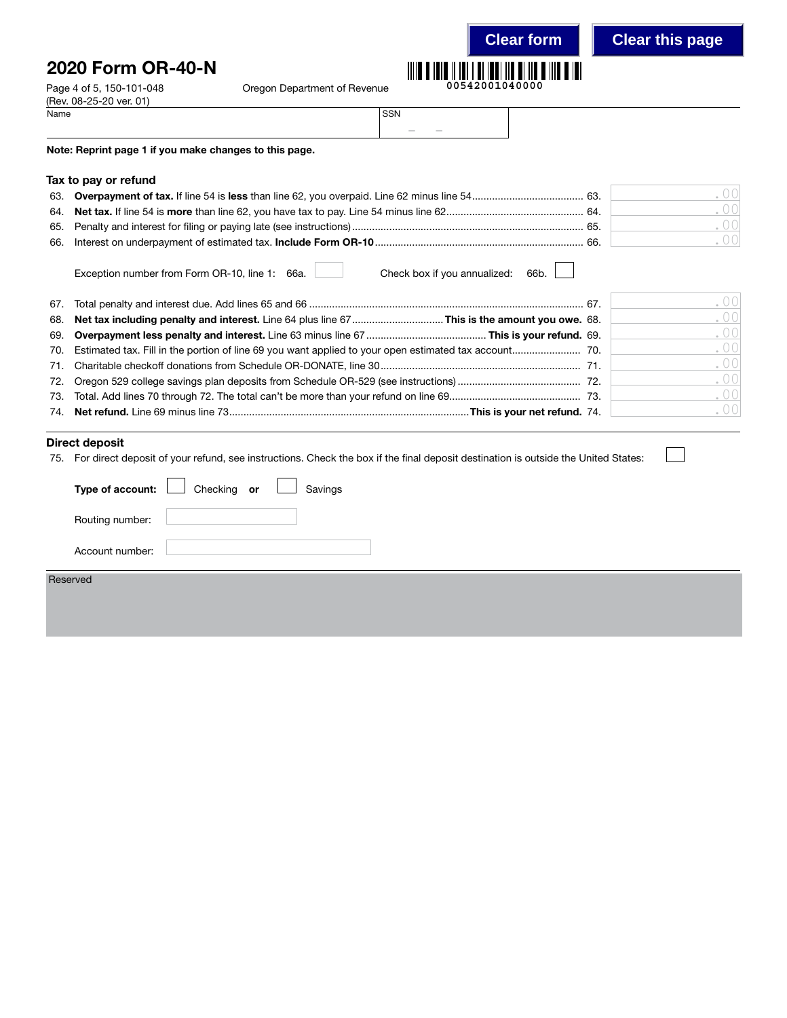## 2020 Form OR-40-N

Page 4 of 5, 150-101-048 Oregon Department of Revenue



|  | 00542001040000 |  |  |  |  |
|--|----------------|--|--|--|--|
|  |                |  |  |  |  |

| Name | <b>SSN</b> |                                                                                                                                                                                                                                                                                                                                                                                                                                                                            |  |
|------|------------|----------------------------------------------------------------------------------------------------------------------------------------------------------------------------------------------------------------------------------------------------------------------------------------------------------------------------------------------------------------------------------------------------------------------------------------------------------------------------|--|
|      |            | $\frac{1}{2} \left( \frac{1}{2} \right) \left( \frac{1}{2} \right) \left( \frac{1}{2} \right) \left( \frac{1}{2} \right) \left( \frac{1}{2} \right) \left( \frac{1}{2} \right) \left( \frac{1}{2} \right) \left( \frac{1}{2} \right) \left( \frac{1}{2} \right) \left( \frac{1}{2} \right) \left( \frac{1}{2} \right) \left( \frac{1}{2} \right) \left( \frac{1}{2} \right) \left( \frac{1}{2} \right) \left( \frac{1}{2} \right) \left( \frac{1}{2} \right) \left( \frac$ |  |

Note: Reprint page 1 if you make changes to this page.

#### Tax to pay or refund

(Rev. 08-25-20 ver. 01)<br>Name

| -65 |  |
|-----|--|
| -66 |  |

Exception number from Form OR-10, line 1: 66a. Check box if you annualized: 66b.

|                                                                                                 | . 00 |
|-------------------------------------------------------------------------------------------------|------|
| 68. Net tax including penalty and interest. Line 64 plus line 67This is the amount you owe. 68. | .00  |
|                                                                                                 | .00  |
|                                                                                                 | .00  |
|                                                                                                 | .00  |
|                                                                                                 | .00  |
|                                                                                                 | .00  |
|                                                                                                 | .00  |
|                                                                                                 |      |

#### Direct deposit

75. For direct deposit of your refund, see instructions. Check the box if the final deposit destination is outside the United States:

| Type of account: $\Box$ Checking or $\Box$ | . . | Savings | . . |  |  |
|--------------------------------------------|-----|---------|-----|--|--|
| Routing number:                            |     |         |     |  |  |
| Account number:                            |     |         |     |  |  |
| Reserved                                   |     |         |     |  |  |
|                                            |     |         |     |  |  |